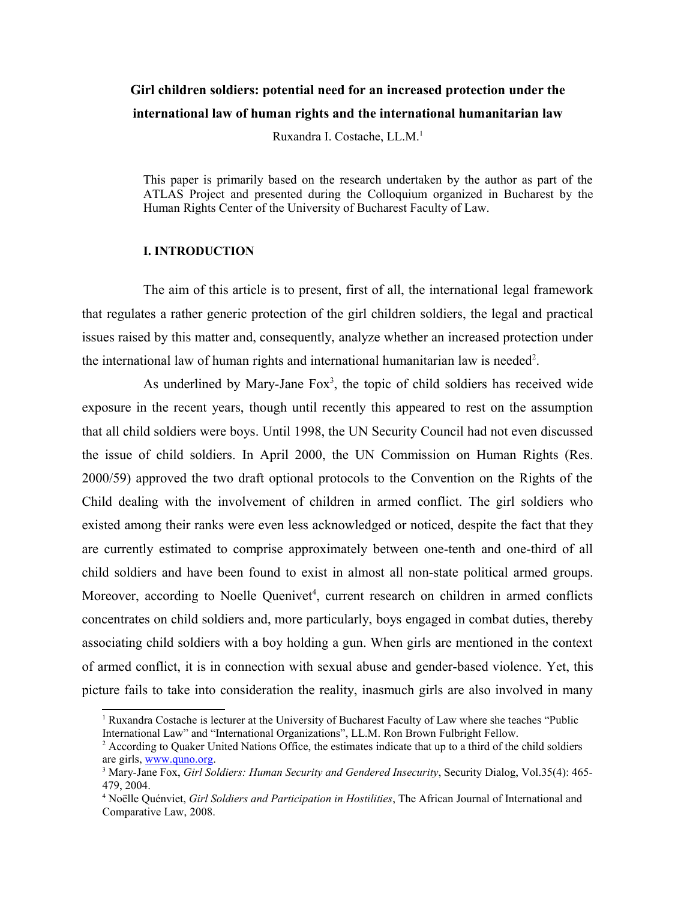### **Girl children soldiers: potential need for an increased protection under the international law of human rights and the international humanitarian law**

Ruxandra I. Costache, LL.M.[1](#page-0-0)

This paper is primarily based on the research undertaken by the author as part of the ATLAS Project and presented during the Colloquium organized in Bucharest by the Human Rights Center of the University of Bucharest Faculty of Law.

#### **I. INTRODUCTION**

The aim of this article is to present, first of all, the international legal framework that regulates a rather generic protection of the girl children soldiers, the legal and practical issues raised by this matter and, consequently, analyze whether an increased protection under the international law of human rights and international humanitarian law is needed<sup>[2](#page-0-1)</sup>.

As underlined by Mary-Jane  $Fox<sup>3</sup>$  $Fox<sup>3</sup>$  $Fox<sup>3</sup>$ , the topic of child soldiers has received wide exposure in the recent years, though until recently this appeared to rest on the assumption that all child soldiers were boys. Until 1998, the UN Security Council had not even discussed the issue of child soldiers. In April 2000, the UN Commission on Human Rights (Res. 2000/59) approved the two draft optional protocols to the Convention on the Rights of the Child dealing with the involvement of children in armed conflict. The girl soldiers who existed among their ranks were even less acknowledged or noticed, despite the fact that they are currently estimated to comprise approximately between one-tenth and one-third of all child soldiers and have been found to exist in almost all non-state political armed groups. Moreover, according to Noelle Quenivet<sup>[4](#page-0-3)</sup>, current research on children in armed conflicts concentrates on child soldiers and, more particularly, boys engaged in combat duties, thereby associating child soldiers with a boy holding a gun. When girls are mentioned in the context of armed conflict, it is in connection with sexual abuse and gender-based violence. Yet, this picture fails to take into consideration the reality, inasmuch girls are also involved in many

<span id="page-0-0"></span><sup>&</sup>lt;sup>1</sup> Ruxandra Costache is lecturer at the University of Bucharest Faculty of Law where she teaches "Public International Law" and "International Organizations", LL.M. Ron Brown Fulbright Fellow.

<span id="page-0-1"></span><sup>&</sup>lt;sup>2</sup> According to Quaker United Nations Office, the estimates indicate that up to a third of the child soldiers are girls, [www.quno.org.](http://www.quno.org/)

<span id="page-0-2"></span><sup>3</sup> Mary-Jane Fox, *Girl Soldiers: Human Security and Gendered Insecurity*, Security Dialog, Vol.35(4): 465- 479, 2004.

<span id="page-0-3"></span><sup>4</sup> Noëlle Quénviet, *Girl Soldiers and Participation in Hostilities*, The African Journal of International and Comparative Law, 2008.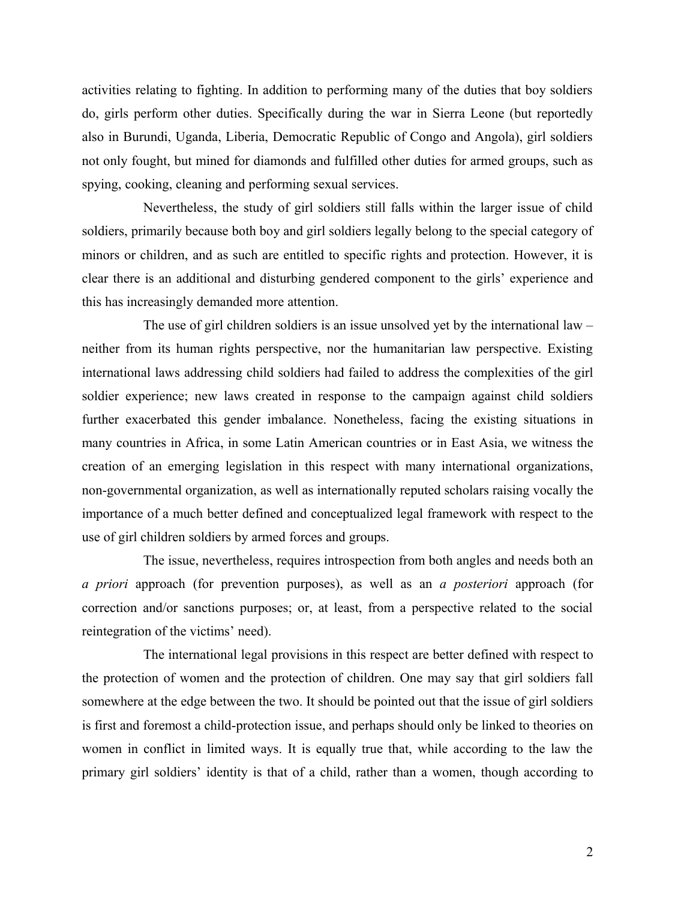activities relating to fighting. In addition to performing many of the duties that boy soldiers do, girls perform other duties. Specifically during the war in Sierra Leone (but reportedly also in Burundi, Uganda, Liberia, Democratic Republic of Congo and Angola), girl soldiers not only fought, but mined for diamonds and fulfilled other duties for armed groups, such as spying, cooking, cleaning and performing sexual services.

Nevertheless, the study of girl soldiers still falls within the larger issue of child soldiers, primarily because both boy and girl soldiers legally belong to the special category of minors or children, and as such are entitled to specific rights and protection. However, it is clear there is an additional and disturbing gendered component to the girls' experience and this has increasingly demanded more attention.

The use of girl children soldiers is an issue unsolved yet by the international law – neither from its human rights perspective, nor the humanitarian law perspective. Existing international laws addressing child soldiers had failed to address the complexities of the girl soldier experience; new laws created in response to the campaign against child soldiers further exacerbated this gender imbalance. Nonetheless, facing the existing situations in many countries in Africa, in some Latin American countries or in East Asia, we witness the creation of an emerging legislation in this respect with many international organizations, non-governmental organization, as well as internationally reputed scholars raising vocally the importance of a much better defined and conceptualized legal framework with respect to the use of girl children soldiers by armed forces and groups.

The issue, nevertheless, requires introspection from both angles and needs both an *a priori* approach (for prevention purposes), as well as an *a posteriori* approach (for correction and/or sanctions purposes; or, at least, from a perspective related to the social reintegration of the victims' need).

The international legal provisions in this respect are better defined with respect to the protection of women and the protection of children. One may say that girl soldiers fall somewhere at the edge between the two. It should be pointed out that the issue of girl soldiers is first and foremost a child-protection issue, and perhaps should only be linked to theories on women in conflict in limited ways. It is equally true that, while according to the law the primary girl soldiers' identity is that of a child, rather than a women, though according to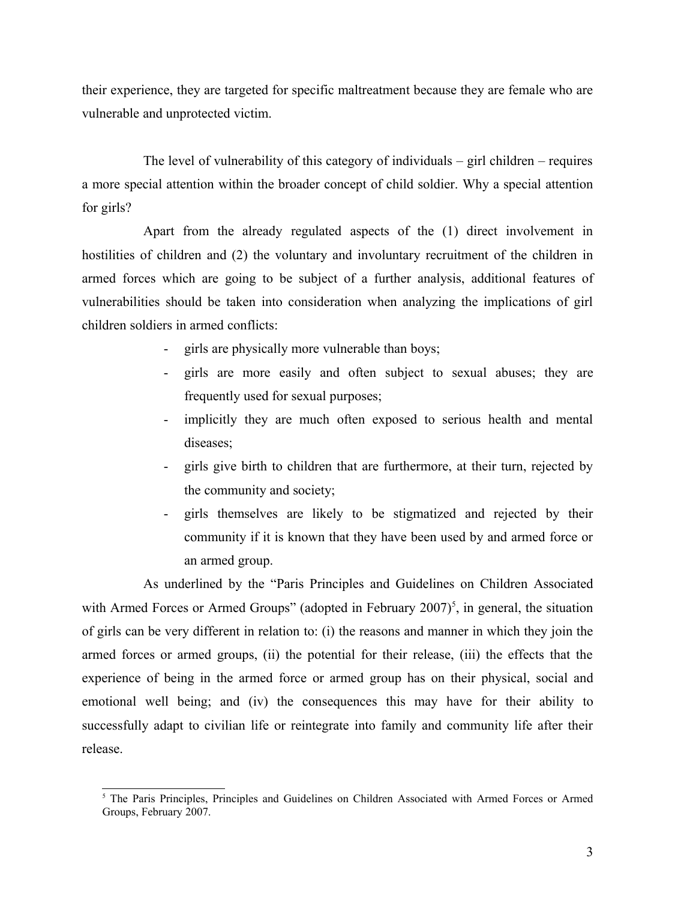their experience, they are targeted for specific maltreatment because they are female who are vulnerable and unprotected victim.

The level of vulnerability of this category of individuals – girl children – requires a more special attention within the broader concept of child soldier. Why a special attention for girls?

Apart from the already regulated aspects of the (1) direct involvement in hostilities of children and (2) the voluntary and involuntary recruitment of the children in armed forces which are going to be subject of a further analysis, additional features of vulnerabilities should be taken into consideration when analyzing the implications of girl children soldiers in armed conflicts:

- girls are physically more vulnerable than boys;
- girls are more easily and often subject to sexual abuses; they are frequently used for sexual purposes;
- implicitly they are much often exposed to serious health and mental diseases;
- girls give birth to children that are furthermore, at their turn, rejected by the community and society;
- girls themselves are likely to be stigmatized and rejected by their community if it is known that they have been used by and armed force or an armed group.

As underlined by the "Paris Principles and Guidelines on Children Associated with Armed Forces or Armed Groups" (adopted in February  $2007$ )<sup>[5](#page-2-0)</sup>, in general, the situation of girls can be very different in relation to: (i) the reasons and manner in which they join the armed forces or armed groups, (ii) the potential for their release, (iii) the effects that the experience of being in the armed force or armed group has on their physical, social and emotional well being; and (iv) the consequences this may have for their ability to successfully adapt to civilian life or reintegrate into family and community life after their release.

<span id="page-2-0"></span><sup>&</sup>lt;sup>5</sup> The Paris Principles, Principles and Guidelines on Children Associated with Armed Forces or Armed Groups, February 2007.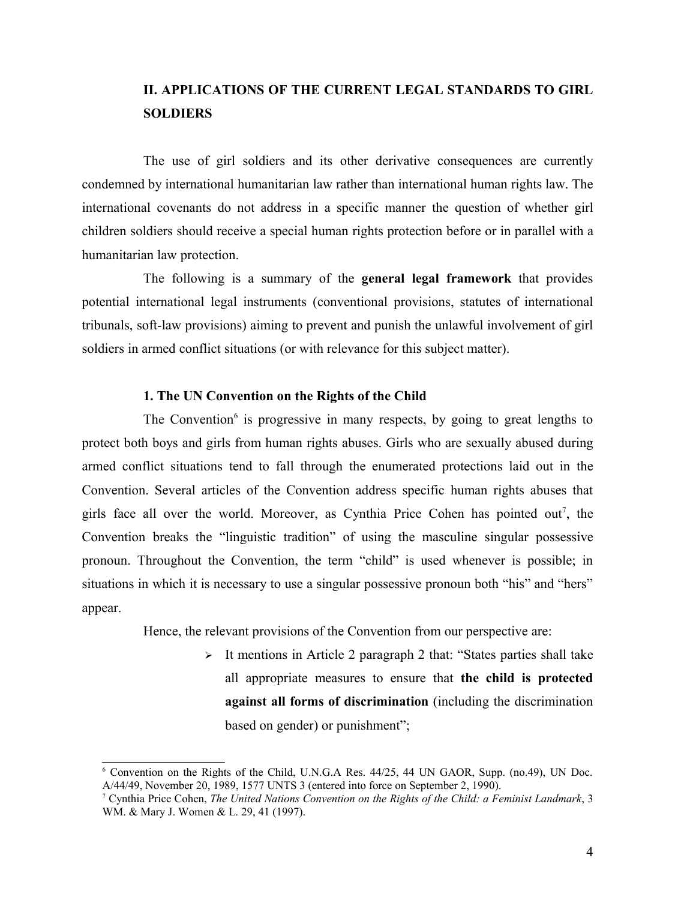## **II. APPLICATIONS OF THE CURRENT LEGAL STANDARDS TO GIRL SOLDIERS**

The use of girl soldiers and its other derivative consequences are currently condemned by international humanitarian law rather than international human rights law. The international covenants do not address in a specific manner the question of whether girl children soldiers should receive a special human rights protection before or in parallel with a humanitarian law protection.

The following is a summary of the **general legal framework** that provides potential international legal instruments (conventional provisions, statutes of international tribunals, soft-law provisions) aiming to prevent and punish the unlawful involvement of girl soldiers in armed conflict situations (or with relevance for this subject matter).

### **1. The UN Convention on the Rights of the Child**

The Convention<sup>[6](#page-3-0)</sup> is progressive in many respects, by going to great lengths to protect both boys and girls from human rights abuses. Girls who are sexually abused during armed conflict situations tend to fall through the enumerated protections laid out in the Convention. Several articles of the Convention address specific human rights abuses that girls face all over the world. Moreover, as Cynthia Price Cohen has pointed out<sup>[7](#page-3-1)</sup>, the Convention breaks the "linguistic tradition" of using the masculine singular possessive pronoun. Throughout the Convention, the term "child" is used whenever is possible; in situations in which it is necessary to use a singular possessive pronoun both "his" and "hers" appear.

Hence, the relevant provisions of the Convention from our perspective are:

 $\triangleright$  It mentions in Article 2 paragraph 2 that: "States parties shall take all appropriate measures to ensure that **the child is protected against all forms of discrimination** (including the discrimination based on gender) or punishment";

<span id="page-3-0"></span><sup>6</sup> Convention on the Rights of the Child, U.N.G.A Res. 44/25, 44 UN GAOR, Supp. (no.49), UN Doc. A/44/49, November 20, 1989, 1577 UNTS 3 (entered into force on September 2, 1990).

<span id="page-3-1"></span><sup>7</sup> Cynthia Price Cohen, *The United Nations Convention on the Rights of the Child: a Feminist Landmark*, 3 WM. & Mary J. Women & L. 29, 41 (1997).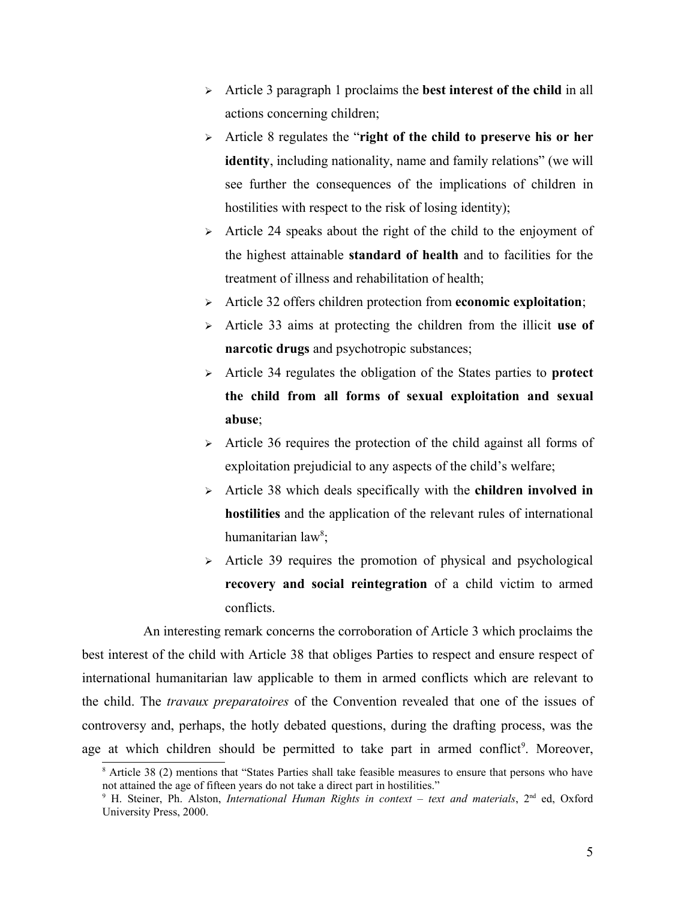- Article 3 paragraph 1 proclaims the **best interest of the child** in all actions concerning children;
- Article 8 regulates the "**right of the child to preserve his or her identity**, including nationality, name and family relations" (we will see further the consequences of the implications of children in hostilities with respect to the risk of losing identity);
- $\triangleright$  Article 24 speaks about the right of the child to the enjoyment of the highest attainable **standard of health** and to facilities for the treatment of illness and rehabilitation of health;
- Article 32 offers children protection from **economic exploitation**;
- Article 33 aims at protecting the children from the illicit **use of narcotic drugs** and psychotropic substances;
- Article 34 regulates the obligation of the States parties to **protect the child from all forms of sexual exploitation and sexual abuse**;
- $\triangleright$  Article 36 requires the protection of the child against all forms of exploitation prejudicial to any aspects of the child's welfare;
- Article 38 which deals specifically with the **children involved in hostilities** and the application of the relevant rules of international humanitarian law<sup>[8](#page-4-0)</sup>;
- $\triangleright$  Article 39 requires the promotion of physical and psychological **recovery and social reintegration** of a child victim to armed conflicts.

An interesting remark concerns the corroboration of Article 3 which proclaims the best interest of the child with Article 38 that obliges Parties to respect and ensure respect of international humanitarian law applicable to them in armed conflicts which are relevant to the child. The *travaux preparatoires* of the Convention revealed that one of the issues of controversy and, perhaps, the hotly debated questions, during the drafting process, was the age at which children should be permitted to take part in armed conflict<sup>[9](#page-4-1)</sup>. Moreover,

<span id="page-4-0"></span><sup>&</sup>lt;sup>8</sup> Article 38 (2) mentions that "States Parties shall take feasible measures to ensure that persons who have not attained the age of fifteen years do not take a direct part in hostilities."

<span id="page-4-1"></span><sup>&</sup>lt;sup>9</sup> H. Steiner, Ph. Alston, *International Human Rights in context – text and materials*, 2<sup>nd</sup> ed, Oxford University Press, 2000.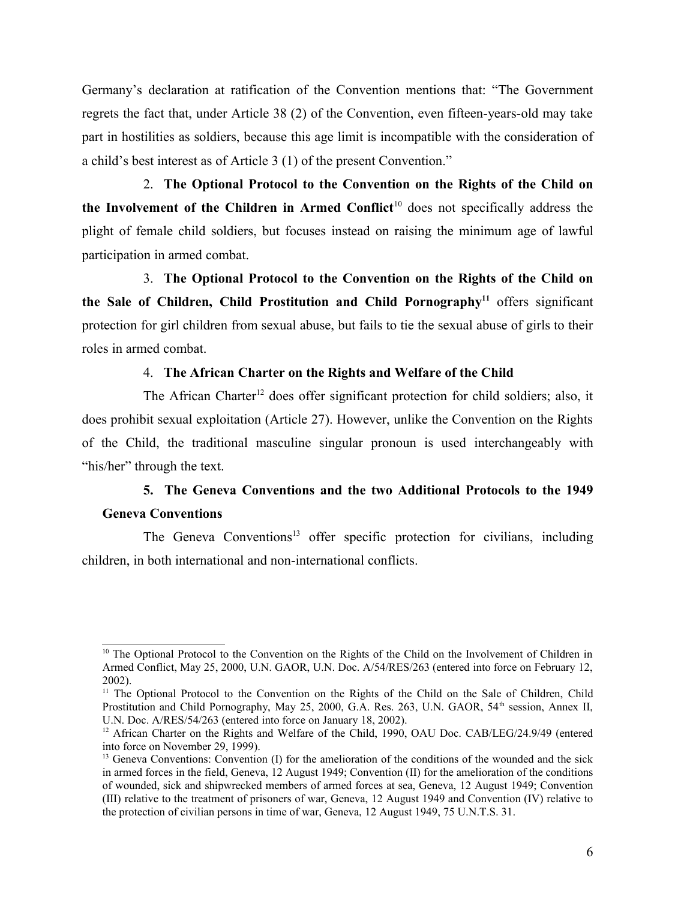Germany's declaration at ratification of the Convention mentions that: "The Government regrets the fact that, under Article 38 (2) of the Convention, even fifteen-years-old may take part in hostilities as soldiers, because this age limit is incompatible with the consideration of a child's best interest as of Article 3 (1) of the present Convention."

2. **The Optional Protocol to the Convention on the Rights of the Child on the Involvement of the Children in Armed Conflict<sup>[10](#page-5-0)</sup> does not specifically address the** plight of female child soldiers, but focuses instead on raising the minimum age of lawful participation in armed combat.

3. **The Optional Protocol to the Convention on the Rights of the Child on the Sale of Children, Child Prostitution and Child Pornography[11](#page-5-1)** offers significant protection for girl children from sexual abuse, but fails to tie the sexual abuse of girls to their roles in armed combat.

### 4. **The African Charter on the Rights and Welfare of the Child**

The African Charter<sup>[12](#page-5-2)</sup> does offer significant protection for child soldiers; also, it does prohibit sexual exploitation (Article 27). However, unlike the Convention on the Rights of the Child, the traditional masculine singular pronoun is used interchangeably with "his/her" through the text.

## **5. The Geneva Conventions and the two Additional Protocols to the 1949 Geneva Conventions**

The Geneva Conventions<sup>[13](#page-5-3)</sup> offer specific protection for civilians, including children, in both international and non-international conflicts.

<span id="page-5-0"></span><sup>&</sup>lt;sup>10</sup> The Optional Protocol to the Convention on the Rights of the Child on the Involvement of Children in Armed Conflict, May 25, 2000, U.N. GAOR, U.N. Doc. A/54/RES/263 (entered into force on February 12, 2002).

<span id="page-5-1"></span><sup>&</sup>lt;sup>11</sup> The Optional Protocol to the Convention on the Rights of the Child on the Sale of Children, Child Prostitution and Child Pornography, May 25, 2000, G.A. Res. 263, U.N. GAOR, 54<sup>th</sup> session, Annex II, U.N. Doc. A/RES/54/263 (entered into force on January 18, 2002).

<span id="page-5-2"></span><sup>&</sup>lt;sup>12</sup> African Charter on the Rights and Welfare of the Child, 1990, OAU Doc. CAB/LEG/24.9/49 (entered into force on November 29, 1999).

<span id="page-5-3"></span> $<sup>13</sup>$  Geneva Conventions: Convention (I) for the amelioration of the conditions of the wounded and the sick</sup> in armed forces in the field, Geneva, 12 August 1949; Convention (II) for the amelioration of the conditions of wounded, sick and shipwrecked members of armed forces at sea, Geneva, 12 August 1949; Convention (III) relative to the treatment of prisoners of war, Geneva, 12 August 1949 and Convention (IV) relative to the protection of civilian persons in time of war, Geneva, 12 August 1949, 75 U.N.T.S. 31.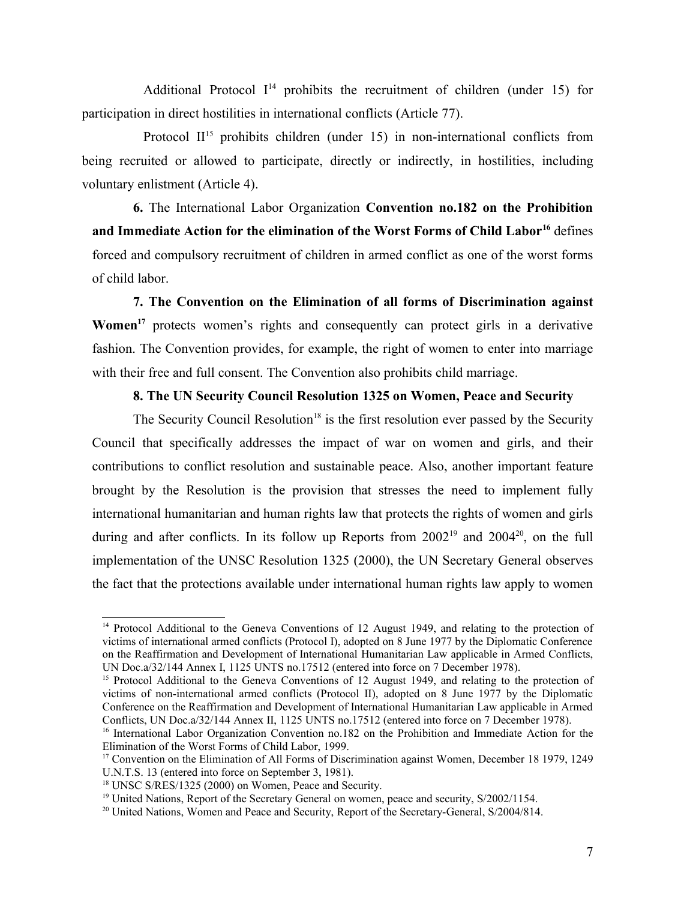Additional Protocol  $I^{14}$  $I^{14}$  $I^{14}$  prohibits the recruitment of children (under 15) for participation in direct hostilities in international conflicts (Article 77).

Protocol  $II<sup>15</sup>$  $II<sup>15</sup>$  $II<sup>15</sup>$  prohibits children (under 15) in non-international conflicts from being recruited or allowed to participate, directly or indirectly, in hostilities, including voluntary enlistment (Article 4).

**6.** The International Labor Organization **Convention no.182 on the Prohibition and Immediate Action for the elimination of the Worst Forms of Child Labor[16](#page-6-2)** defines forced and compulsory recruitment of children in armed conflict as one of the worst forms of child labor.

**7. The Convention on the Elimination of all forms of Discrimination against Women[17](#page-6-3)** protects women's rights and consequently can protect girls in a derivative fashion. The Convention provides, for example, the right of women to enter into marriage with their free and full consent. The Convention also prohibits child marriage.

### **8. The UN Security Council Resolution 1325 on Women, Peace and Security**

The Security Council Resolution<sup>[18](#page-6-4)</sup> is the first resolution ever passed by the Security Council that specifically addresses the impact of war on women and girls, and their contributions to conflict resolution and sustainable peace. Also, another important feature brought by the Resolution is the provision that stresses the need to implement fully international humanitarian and human rights law that protects the rights of women and girls during and after conflicts. In its follow up Reports from  $2002^{19}$  $2002^{19}$  $2002^{19}$  and  $2004^{20}$  $2004^{20}$ , on the full implementation of the UNSC Resolution 1325 (2000), the UN Secretary General observes the fact that the protections available under international human rights law apply to women

<span id="page-6-0"></span><sup>&</sup>lt;sup>14</sup> Protocol Additional to the Geneva Conventions of 12 August 1949, and relating to the protection of victims of international armed conflicts (Protocol I), adopted on 8 June 1977 by the Diplomatic Conference on the Reaffirmation and Development of International Humanitarian Law applicable in Armed Conflicts, UN Doc.a/32/144 Annex I, 1125 UNTS no.17512 (entered into force on 7 December 1978).

<span id="page-6-1"></span><sup>&</sup>lt;sup>15</sup> Protocol Additional to the Geneva Conventions of 12 August 1949, and relating to the protection of victims of non-international armed conflicts (Protocol II), adopted on 8 June 1977 by the Diplomatic Conference on the Reaffirmation and Development of International Humanitarian Law applicable in Armed Conflicts, UN Doc.a/32/144 Annex II, 1125 UNTS no.17512 (entered into force on 7 December 1978).

<span id="page-6-2"></span><sup>&</sup>lt;sup>16</sup> International Labor Organization Convention no.182 on the Prohibition and Immediate Action for the Elimination of the Worst Forms of Child Labor, 1999.

<span id="page-6-3"></span><sup>&</sup>lt;sup>17</sup> Convention on the Elimination of All Forms of Discrimination against Women, December 18 1979, 1249 U.N.T.S. 13 (entered into force on September 3, 1981).

<span id="page-6-4"></span><sup>&</sup>lt;sup>18</sup> UNSC S/RES/1325 (2000) on Women, Peace and Security.

<span id="page-6-5"></span><sup>&</sup>lt;sup>19</sup> United Nations, Report of the Secretary General on women, peace and security, S/2002/1154.

<span id="page-6-6"></span><sup>&</sup>lt;sup>20</sup> United Nations, Women and Peace and Security, Report of the Secretary-General, S/2004/814.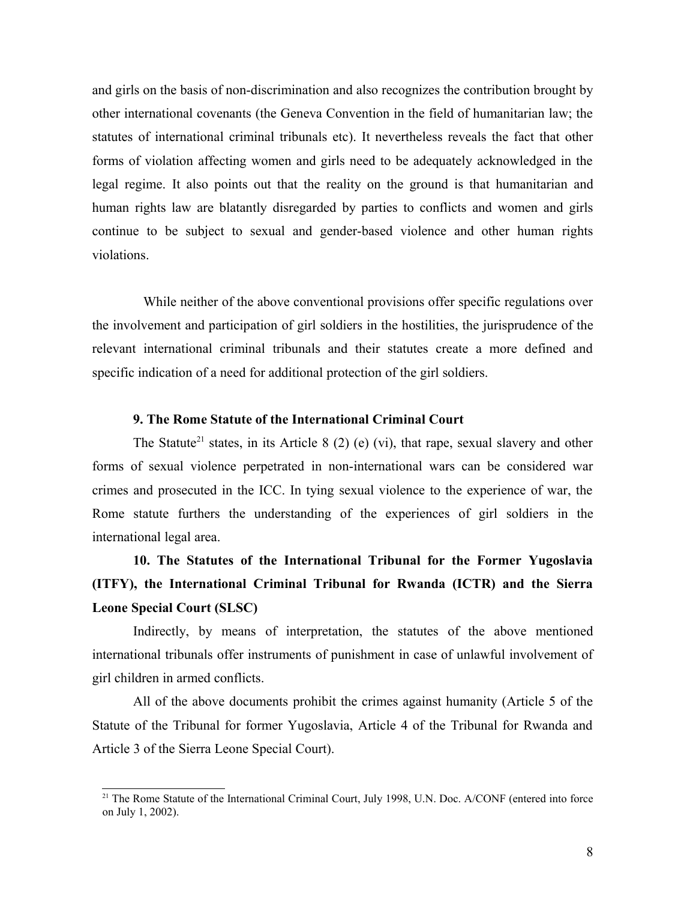and girls on the basis of non-discrimination and also recognizes the contribution brought by other international covenants (the Geneva Convention in the field of humanitarian law; the statutes of international criminal tribunals etc). It nevertheless reveals the fact that other forms of violation affecting women and girls need to be adequately acknowledged in the legal regime. It also points out that the reality on the ground is that humanitarian and human rights law are blatantly disregarded by parties to conflicts and women and girls continue to be subject to sexual and gender-based violence and other human rights violations.

While neither of the above conventional provisions offer specific regulations over the involvement and participation of girl soldiers in the hostilities, the jurisprudence of the relevant international criminal tribunals and their statutes create a more defined and specific indication of a need for additional protection of the girl soldiers.

### **9. The Rome Statute of the International Criminal Court**

The Statute<sup>[21](#page-7-0)</sup> states, in its Article 8 (2) (e) (vi), that rape, sexual slavery and other forms of sexual violence perpetrated in non-international wars can be considered war crimes and prosecuted in the ICC. In tying sexual violence to the experience of war, the Rome statute furthers the understanding of the experiences of girl soldiers in the international legal area.

# **10. The Statutes of the International Tribunal for the Former Yugoslavia (ITFY), the International Criminal Tribunal for Rwanda (ICTR) and the Sierra Leone Special Court (SLSC)**

Indirectly, by means of interpretation, the statutes of the above mentioned international tribunals offer instruments of punishment in case of unlawful involvement of girl children in armed conflicts.

All of the above documents prohibit the crimes against humanity (Article 5 of the Statute of the Tribunal for former Yugoslavia, Article 4 of the Tribunal for Rwanda and Article 3 of the Sierra Leone Special Court).

<span id="page-7-0"></span><sup>&</sup>lt;sup>21</sup> The Rome Statute of the International Criminal Court, July 1998, U.N. Doc. A/CONF (entered into force on July 1, 2002).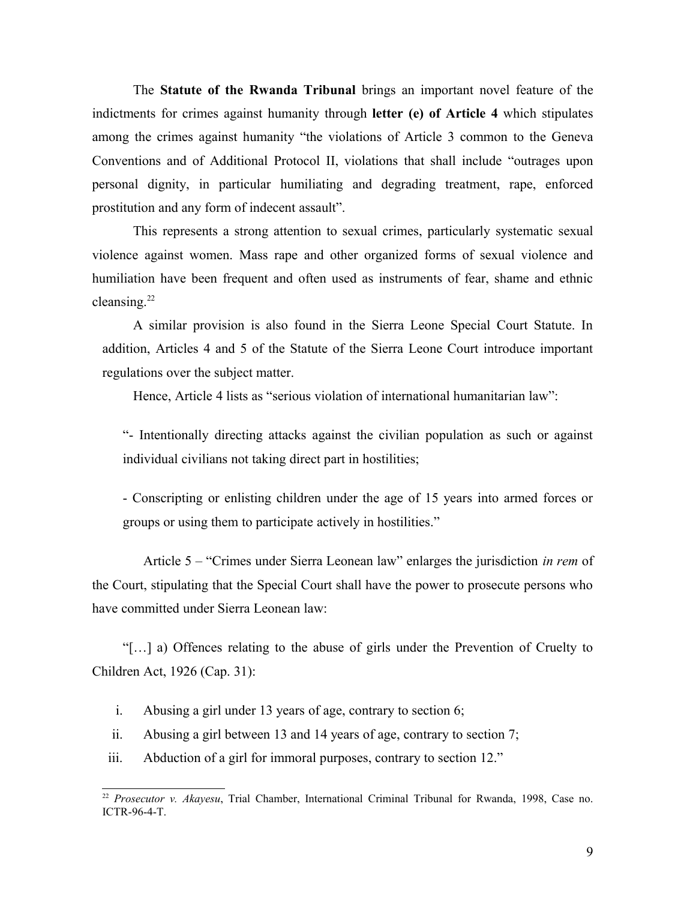The **Statute of the Rwanda Tribunal** brings an important novel feature of the indictments for crimes against humanity through **letter (e) of Article 4** which stipulates among the crimes against humanity "the violations of Article 3 common to the Geneva Conventions and of Additional Protocol II, violations that shall include "outrages upon personal dignity, in particular humiliating and degrading treatment, rape, enforced prostitution and any form of indecent assault".

This represents a strong attention to sexual crimes, particularly systematic sexual violence against women. Mass rape and other organized forms of sexual violence and humiliation have been frequent and often used as instruments of fear, shame and ethnic cleansing.<sup>[22](#page-8-0)</sup>

A similar provision is also found in the Sierra Leone Special Court Statute. In addition, Articles 4 and 5 of the Statute of the Sierra Leone Court introduce important regulations over the subject matter.

Hence, Article 4 lists as "serious violation of international humanitarian law":

"- Intentionally directing attacks against the civilian population as such or against individual civilians not taking direct part in hostilities;

- Conscripting or enlisting children under the age of 15 years into armed forces or groups or using them to participate actively in hostilities."

Article 5 – "Crimes under Sierra Leonean law" enlarges the jurisdiction *in rem* of the Court, stipulating that the Special Court shall have the power to prosecute persons who have committed under Sierra Leonean law:

"[…] a) Offences relating to the abuse of girls under the Prevention of Cruelty to Children Act, 1926 (Cap. 31):

- i. Abusing a girl under 13 years of age, contrary to section 6;
- ii. Abusing a girl between 13 and 14 years of age, contrary to section 7;
- iii. Abduction of a girl for immoral purposes, contrary to section 12."

<span id="page-8-0"></span><sup>22</sup> *Prosecutor v. Akayesu*, Trial Chamber, International Criminal Tribunal for Rwanda, 1998, Case no. ICTR-96-4-T.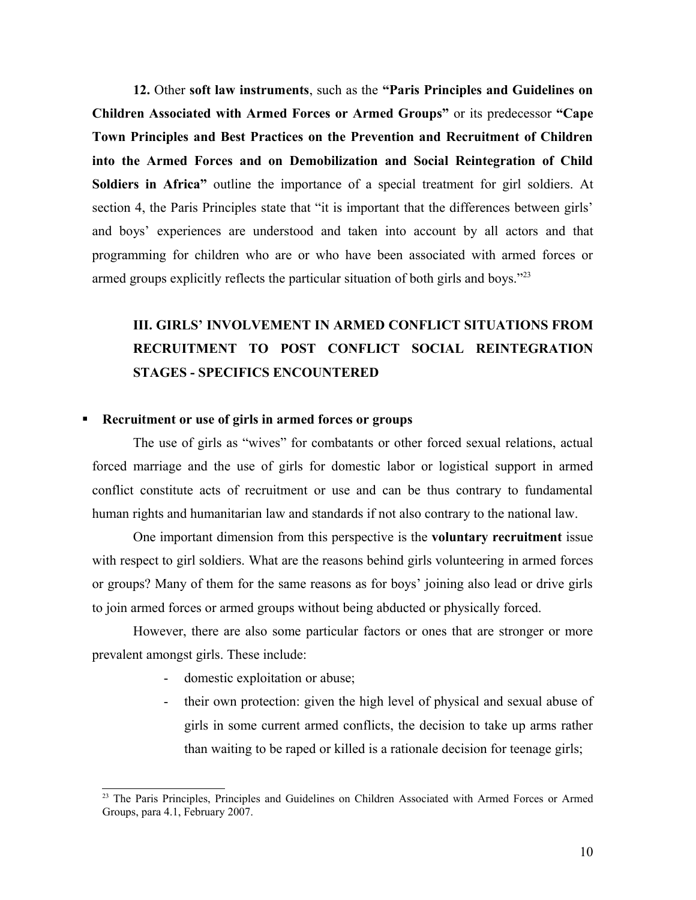**12.** Other **soft law instruments**, such as the **"Paris Principles and Guidelines on Children Associated with Armed Forces or Armed Groups"** or its predecessor **"Cape Town Principles and Best Practices on the Prevention and Recruitment of Children into the Armed Forces and on Demobilization and Social Reintegration of Child Soldiers in Africa"** outline the importance of a special treatment for girl soldiers. At section 4, the Paris Principles state that "it is important that the differences between girls' and boys' experiences are understood and taken into account by all actors and that programming for children who are or who have been associated with armed forces or armed groups explicitly reflects the particular situation of both girls and boys."<sup>[23](#page-9-0)</sup>

# **III. GIRLS' INVOLVEMENT IN ARMED CONFLICT SITUATIONS FROM RECRUITMENT TO POST CONFLICT SOCIAL REINTEGRATION STAGES - SPECIFICS ENCOUNTERED**

#### **Recruitment or use of girls in armed forces or groups**

The use of girls as "wives" for combatants or other forced sexual relations, actual forced marriage and the use of girls for domestic labor or logistical support in armed conflict constitute acts of recruitment or use and can be thus contrary to fundamental human rights and humanitarian law and standards if not also contrary to the national law.

One important dimension from this perspective is the **voluntary recruitment** issue with respect to girl soldiers. What are the reasons behind girls volunteering in armed forces or groups? Many of them for the same reasons as for boys' joining also lead or drive girls to join armed forces or armed groups without being abducted or physically forced.

However, there are also some particular factors or ones that are stronger or more prevalent amongst girls. These include:

- domestic exploitation or abuse;
- their own protection: given the high level of physical and sexual abuse of girls in some current armed conflicts, the decision to take up arms rather than waiting to be raped or killed is a rationale decision for teenage girls;

<span id="page-9-0"></span><sup>&</sup>lt;sup>23</sup> The Paris Principles, Principles and Guidelines on Children Associated with Armed Forces or Armed Groups, para 4.1, February 2007.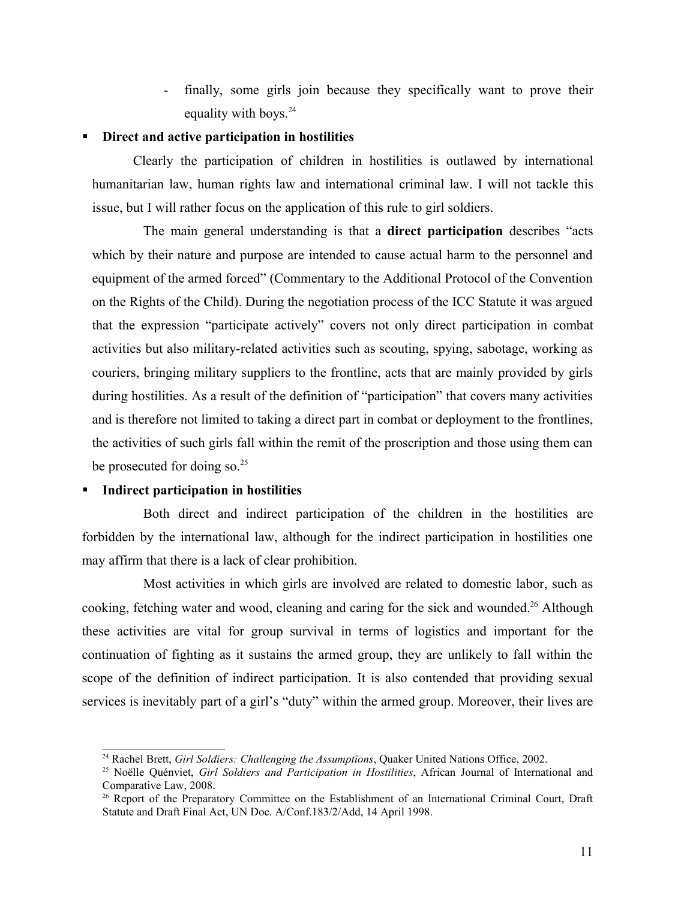- finally, some girls join because they specifically want to prove their equality with boys. $24$ 

### **Direct and active participation in hostilities**

Clearly the participation of children in hostilities is outlawed by international humanitarian law, human rights law and international criminal law. I will not tackle this issue, but I will rather focus on the application of this rule to girl soldiers.

The main general understanding is that a **direct participation** describes "acts which by their nature and purpose are intended to cause actual harm to the personnel and equipment of the armed forced" (Commentary to the Additional Protocol of the Convention on the Rights of the Child). During the negotiation process of the ICC Statute it was argued that the expression "participate actively" covers not only direct participation in combat activities but also military-related activities such as scouting, spying, sabotage, working as couriers, bringing military suppliers to the frontline, acts that are mainly provided by girls during hostilities. As a result of the definition of "participation" that covers many activities and is therefore not limited to taking a direct part in combat or deployment to the frontlines, the activities of such girls fall within the remit of the proscription and those using them can be prosecuted for doing so. $25$ 

### **Indirect participation in hostilities**

Both direct and indirect participation of the children in the hostilities are forbidden by the international law, although for the indirect participation in hostilities one may affirm that there is a lack of clear prohibition.

Most activities in which girls are involved are related to domestic labor, such as cooking, fetching water and wood, cleaning and caring for the sick and wounded.<sup>[26](#page-10-2)</sup> Although these activities are vital for group survival in terms of logistics and important for the continuation of fighting as it sustains the armed group, they are unlikely to fall within the scope of the definition of indirect participation. It is also contended that providing sexual services is inevitably part of a girl's "duty" within the armed group. Moreover, their lives are

<span id="page-10-0"></span><sup>24</sup> Rachel Brett, *Girl Soldiers: Challenging the Assumptions*, Quaker United Nations Office, 2002.

<span id="page-10-1"></span><sup>25</sup> Noëlle Quénviet, *Girl Soldiers and Participation in Hostilities*, African Journal of International and Comparative Law, 2008.

<span id="page-10-2"></span><sup>&</sup>lt;sup>26</sup> Report of the Preparatory Committee on the Establishment of an International Criminal Court, Draft Statute and Draft Final Act, UN Doc. A/Conf.183/2/Add, 14 April 1998.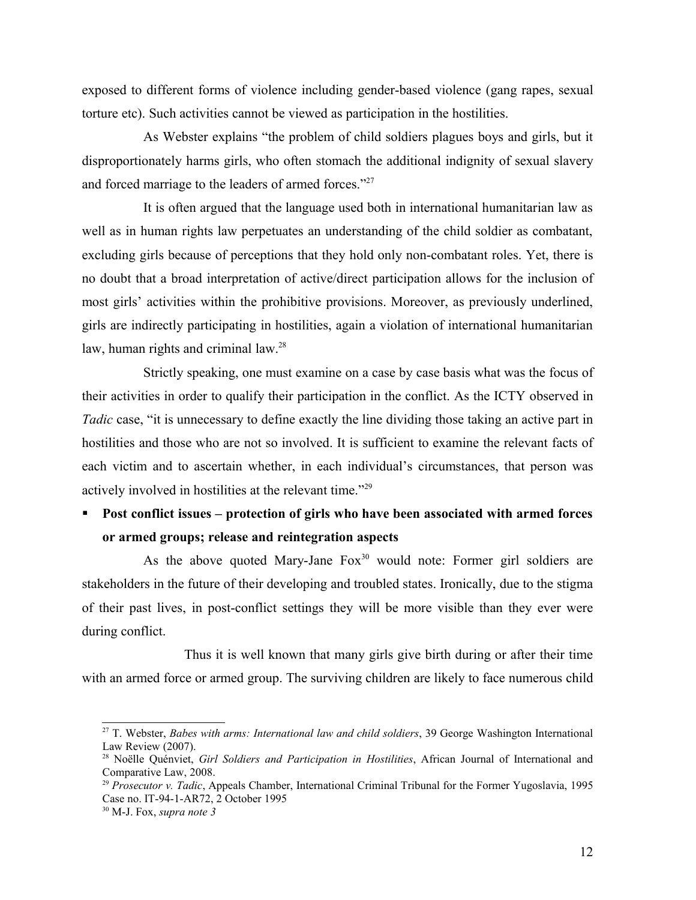exposed to different forms of violence including gender-based violence (gang rapes, sexual torture etc). Such activities cannot be viewed as participation in the hostilities.

As Webster explains "the problem of child soldiers plagues boys and girls, but it disproportionately harms girls, who often stomach the additional indignity of sexual slavery and forced marriage to the leaders of armed forces."<sup>[27](#page-11-0)</sup>

It is often argued that the language used both in international humanitarian law as well as in human rights law perpetuates an understanding of the child soldier as combatant, excluding girls because of perceptions that they hold only non-combatant roles. Yet, there is no doubt that a broad interpretation of active/direct participation allows for the inclusion of most girls' activities within the prohibitive provisions. Moreover, as previously underlined, girls are indirectly participating in hostilities, again a violation of international humanitarian law, human rights and criminal law.<sup>[28](#page-11-1)</sup>

Strictly speaking, one must examine on a case by case basis what was the focus of their activities in order to qualify their participation in the conflict. As the ICTY observed in *Tadic* case, "it is unnecessary to define exactly the line dividing those taking an active part in hostilities and those who are not so involved. It is sufficient to examine the relevant facts of each victim and to ascertain whether, in each individual's circumstances, that person was actively involved in hostilities at the relevant time."[29](#page-11-2)

### **Post conflict issues – protection of girls who have been associated with armed forces or armed groups; release and reintegration aspects**

As the above quoted Mary-Jane  $F\alpha x^{30}$  $F\alpha x^{30}$  $F\alpha x^{30}$  would note: Former girl soldiers are stakeholders in the future of their developing and troubled states. Ironically, due to the stigma of their past lives, in post-conflict settings they will be more visible than they ever were during conflict.

Thus it is well known that many girls give birth during or after their time with an armed force or armed group. The surviving children are likely to face numerous child

<span id="page-11-0"></span><sup>27</sup> T. Webster, *Babes with arms: International law and child soldiers*, 39 George Washington International Law Review (2007).

<span id="page-11-1"></span><sup>28</sup> Noëlle Quénviet, *Girl Soldiers and Participation in Hostilities*, African Journal of International and Comparative Law, 2008.

<span id="page-11-2"></span><sup>29</sup> *Prosecutor v. Tadic*, Appeals Chamber, International Criminal Tribunal for the Former Yugoslavia, 1995 Case no. IT-94-1-AR72, 2 October 1995

<span id="page-11-3"></span><sup>30</sup> M-J. Fox, *supra note 3*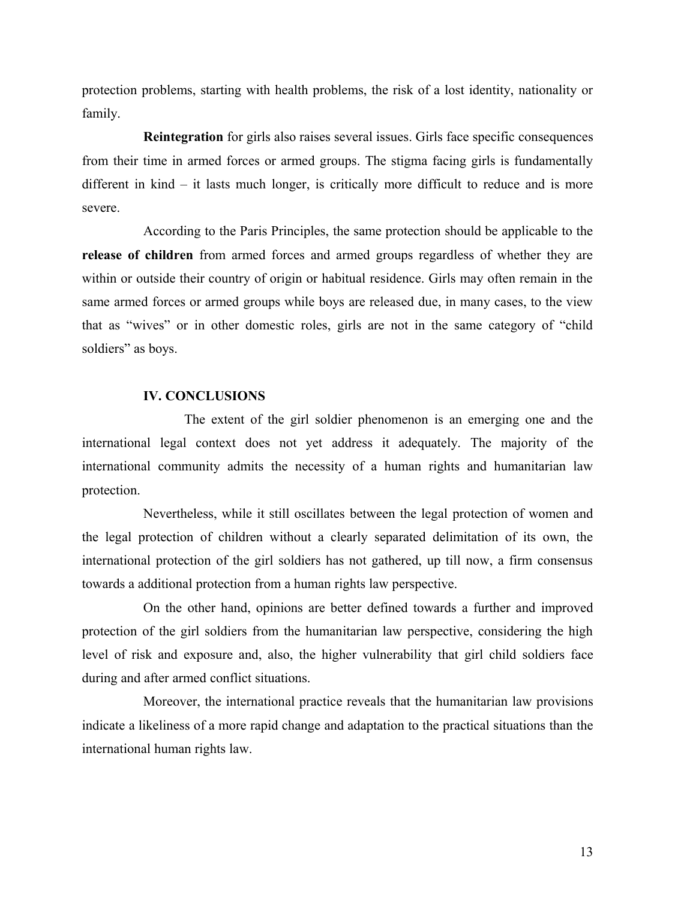protection problems, starting with health problems, the risk of a lost identity, nationality or family.

**Reintegration** for girls also raises several issues. Girls face specific consequences from their time in armed forces or armed groups. The stigma facing girls is fundamentally different in kind – it lasts much longer, is critically more difficult to reduce and is more severe.

According to the Paris Principles, the same protection should be applicable to the **release of children** from armed forces and armed groups regardless of whether they are within or outside their country of origin or habitual residence. Girls may often remain in the same armed forces or armed groups while boys are released due, in many cases, to the view that as "wives" or in other domestic roles, girls are not in the same category of "child soldiers" as boys.

### **IV. CONCLUSIONS**

The extent of the girl soldier phenomenon is an emerging one and the international legal context does not yet address it adequately. The majority of the international community admits the necessity of a human rights and humanitarian law protection.

Nevertheless, while it still oscillates between the legal protection of women and the legal protection of children without a clearly separated delimitation of its own, the international protection of the girl soldiers has not gathered, up till now, a firm consensus towards a additional protection from a human rights law perspective.

On the other hand, opinions are better defined towards a further and improved protection of the girl soldiers from the humanitarian law perspective, considering the high level of risk and exposure and, also, the higher vulnerability that girl child soldiers face during and after armed conflict situations.

Moreover, the international practice reveals that the humanitarian law provisions indicate a likeliness of a more rapid change and adaptation to the practical situations than the international human rights law.